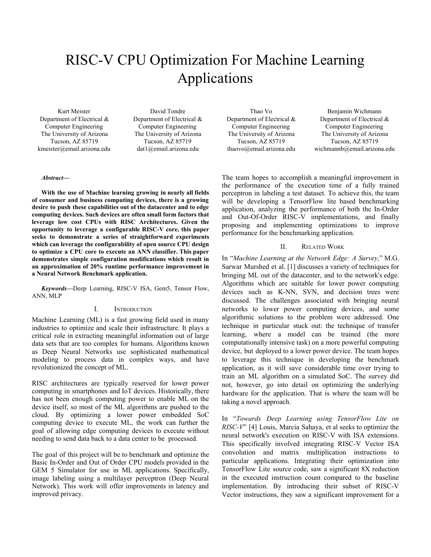# RISC-V CPU Optimization For Machine Learning Applications

Kurt Meister Department of Electrical & Computer Engineering The University of Arizona Tucson, AZ 85719 kmeister@email.arizona.edu

David Tondre Department of Electrical & Computer Engineering The University of Arizona Tucson, AZ 85719 dat1@email.arizona.edu

Thao Vo Department of Electrical & Computer Engineering The University of Arizona Tucson, AZ 85719 thaovo@email.arizona.edu

Benjamin Wichmann Department of Electrical & Computer Engineering The University of Arizona Tucson, AZ 85719 wichmannb@email.arizona.edu

#### *Abstract***—**

**With the use of Machine learning growing in nearly all fields of consumer and business computing devices, there is a growing desire to push these capabilities out of the datacenter and to edge computing devices. Such devices are often small form factors that leverage low cost CPUs with RISC Architectures. Given the opportunity to leverage a configurable RISC-V core, this paper seeks to demonstrate a series of straightforward experiments which can leverage the configurability of open source CPU design to optimize a CPU core to execute an ANN classifier. This paper demonstrates simple configuration modifications which result in an approximation of 20% runtime performance improvement in a Neural Network Benchmark application.**

*Keywords—*Deep Learning, RISC-V ISA, Gem5, Tensor Flow, ANN, MLP

## I. INTRODUCTION

Machine Learning (ML) is a fast growing field used in many industries to optimize and scale their infrastructure. It plays a critical role in extracting meaningful information out of large data sets that are too complex for humans. Algorithms known as Deep Neural Networks use sophisticated mathematical modeling to process data in complex ways, and have revolutionized the concept of ML.

RISC architectures are typically reserved for lower power computing in smartphones and IoT devices. Historically, there has not been enough computing power to enable ML on the device itself, so most of the ML algorithms are pushed to the cloud. By optimizing a lower power embedded SoC computing device to execute ML, the work can further the goal of allowing edge computing devices to execute without needing to send data back to a data center to be processed.

The goal of this project will be to benchmark and optimize the Basic In-Order and Out of Order CPU models provided in the GEM 5 Simulator for use in ML applications. Specifically, image labeling using a multilayer perceptron (Deep Neural Network). This work will offer improvements in latency and improved privacy.

The team hopes to accomplish a meaningful improvement in the performance of the execution time of a fully trained perceptron in labeling a test dataset. To achieve this, the team will be developing a TensorFlow lite based benchmarking application, analyzing the performance of both the In-Order and Out-Of-Order RISC-V implementations, and finally proposing and implementing optimizations to improve performance for the benchmarking application.

## II. RELATED WORK

In "*Machine Learning at the Network Edge: A Survey,*" M.G. Sarwar Murshed et al. [1] discusses a variety of techniques for bringing ML out of the datacenter, and to the network's edge. Algorithms which are suitable for lower power computing devices such as K-NN, SVN, and decision trees were discussed. The challenges associated with bringing neural networks to lower power computing devices, and some algorithmic solutions to the problem were addressed. One technique in particular stuck out: the technique of transfer learning, where a model can be trained (the more computationally intensive task) on a more powerful computing device, but deployed to a lower power device. The team hopes to leverage this technique in developing the benchmark application, as it will save considerable time over trying to train an ML algorithm on a simulated SoC. The survey did not, however, go into detail on optimizing the underlying hardware for the application. That is where the team will be taking a novel approach.

In "*Towards Deep Learning using TensorFlow Lite on RISC-V*" [4] Louis, Marcia Sahaya, et al seeks to optimize the neural network's execution on RISC-V with ISA extensions. This specifically involved integrating RISC-V Vector ISA convolution and matrix multiplication instructions to particular applications. Integrating their optimization into TensorFlow Lite source code, saw a significant 8X reduction in the executed instruction count compared to the baseline implementation. By introducing their subset of RISC-V Vector instructions, they saw a significant improvement for a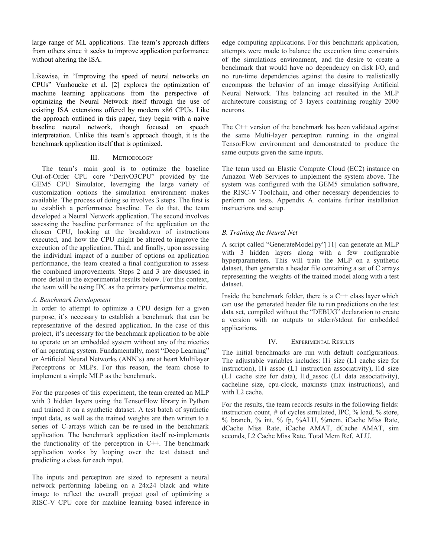large range of ML applications. The team's approach differs from others since it seeks to improve application performance without altering the ISA.

Likewise, in "Improving the speed of neural networks on CPUs" Vanhoucke et al. [2] explores the optimization of machine learning applications from the perspective of optimizing the Neural Network itself through the use of existing ISA extensions offered by modern x86 CPUs. Like the approach outlined in this paper, they begin with a naive baseline neural network, though focused on speech interpretation. Unlike this team's approach though, it is the benchmark application itself that is optimized.

## III. METHODOLOGY

The team's main goal is to optimize the baseline Out-of-Order CPU core "DerivO3CPU" provided by the GEM5 CPU Simulator, leveraging the large variety of customization options the simulation environment makes available. The process of doing so involves 3 steps. The first is to establish a performance baseline. To do that, the team developed a Neural Network application. The second involves assessing the baseline performance of the application on the chosen CPU, looking at the breakdown of instructions executed, and how the CPU might be altered to improve the execution of the application. Third, and finally, upon assessing the individual impact of a number of options on application performance, the team created a final configuration to assess the combined improvements. Steps 2 and 3 are discussed in more detail in the experimental results below. For this context, the team will be using IPC as the primary performance metric.

# *A. Benchmark Development*

In order to attempt to optimize a CPU design for a given purpose, it's necessary to establish a benchmark that can be representative of the desired application. In the case of this project, it's necessary for the benchmark application to be able to operate on an embedded system without any of the niceties of an operating system. Fundamentally, most "Deep Learning" or Artificial Neural Networks (ANN's) are at heart Multilayer Perceptrons or MLPs. For this reason, the team chose to implement a simple MLP as the benchmark.

For the purposes of this experiment, the team created an MLP with 3 hidden layers using the TensorFlow library in Python and trained it on a synthetic dataset. A test batch of synthetic input data, as well as the trained weights are then written to a series of C-arrays which can be re-used in the benchmark application. The benchmark application itself re-implements the functionality of the perceptron in  $C++$ . The benchmark application works by looping over the test dataset and predicting a class for each input.

The inputs and perceptron are sized to represent a neural network performing labeling on a 24x24 black and white image to reflect the overall project goal of optimizing a RISC-V CPU core for machine learning based inference in

edge computing applications. For this benchmark application, attempts were made to balance the execution time constraints of the simulations environment, and the desire to create a benchmark that would have no dependency on disk I/O, and no run-time dependencies against the desire to realistically encompass the behavior of an image classifying Artificial Neural Network. This balancing act resulted in the MLP architecture consisting of 3 layers containing roughly 2000 neurons.

The C++ version of the benchmark has been validated against the same Multi-layer perceptron running in the original TensorFlow environment and demonstrated to produce the same outputs given the same inputs.

The team used an Elastic Compute Cloud (EC2) instance on Amazon Web Services to implement the system above. The system was configured with the GEM5 simulation software, the RISC-V Toolchain, and other necessary dependencies to perform on tests. Appendix A. contains further installation instructions and setup.

# *B. Training the Neural Net*

A script called "GenerateModel.py"[11] can generate an MLP with 3 hidden layers along with a few configurable hyperparameters. This will train the MLP on a synthetic dataset, then generate a header file containing a set of C arrays representing the weights of the trained model along with a test dataset.

Inside the benchmark folder, there is a  $C++$  class layer which can use the generated header file to run predictions on the test data set, compiled without the "DEBUG" declaration to create a version with no outputs to stderr/stdout for embedded applications.

## IV. EXPERIMENTAL RESULTS

The initial benchmarks are run with default configurations. The adjustable variables includes: 11i\_size (L1 cache size for instruction), l1i assoc (L1 instruction associativity), l1d size (L1 cache size for data), l1d\_assoc (L1 data associativity), cacheline\_size, cpu-clock, maxinsts (max instructions), and with L2 cache.

For the results, the team records results in the following fields: instruction count, # of cycles simulated, IPC, % load, % store, % branch, % int, % fp, %ALU, %mem, iCache Miss Rate, dCache Miss Rate, iCache AMAT, dCache AMAT, sim seconds, L2 Cache Miss Rate, Total Mem Ref, ALU.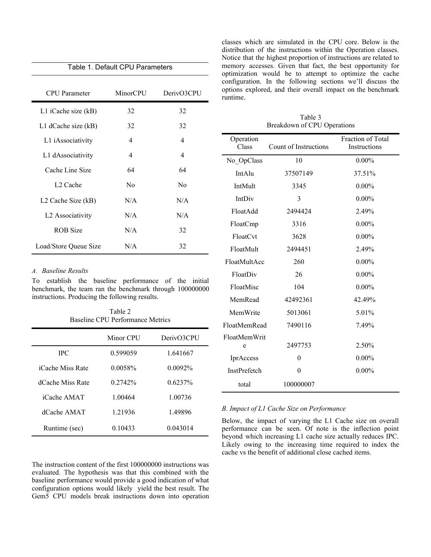| Table 1. Default CPU Parameters |                |                |  |
|---------------------------------|----------------|----------------|--|
|                                 |                |                |  |
| <b>CPU</b> Parameter            | MinorCPU       | DerivO3CPU     |  |
| L1 iCache size (kB)             | 32             | 32             |  |
| L1 dCache size (kB)             | 32             | 32             |  |
| L1 iAssociativity               | 4              | 4              |  |
| L1 dAssociativity               | 4              | 4              |  |
| Cache Line Size                 | 64             | 64             |  |
| L <sub>2</sub> Cache            | N <sub>0</sub> | N <sub>0</sub> |  |
| L2 Cache Size (kB)              | N/A            | N/A            |  |
| L2 Associativity                | N/A            | N/A            |  |
| <b>ROB</b> Size                 | N/A            | 32             |  |
| Load/Store Queue Size           | N/A            | 32             |  |

# *A. Baseline Results*

To establish the baseline performance of the initial benchmark, the team ran the benchmark through 100000000 instructions. Producing the following results.

Table 2 Baseline CPU Performance Metrics

|                  | Minor CPU  | DerivO3CPU |
|------------------|------------|------------|
| <b>IPC</b>       | 0.599059   | 1 641667   |
| iCache Miss Rate | $0.0058\%$ | 0.0092%    |
| dCache Miss Rate | 0.2742%    | $0.6237\%$ |
| iCache AMAT      | 1 00464    | 1 00736    |
| dCache AMAT      | 1 21936    | 149896     |
| Runtime (sec)    | 0.10433    | 0.043014   |

The instruction content of the first 100000000 instructions was evaluated. The hypothesis was that this combined with the baseline performance would provide a good indication of what configuration options would likely yield the best result. The Gem5 CPU models break instructions down into operation classes which are simulated in the CPU core. Below is the distribution of the instructions within the Operation classes. Notice that the highest proportion of instructions are related to memory accesses. Given that fact, the best opportunity for optimization would be to attempt to optimize the cache configuration. In the following sections we'll discuss the options explored, and their overall impact on the benchmark runtime.

Table 3 Breakdown of CPU Operations

| Operation<br>Class | <b>Count of Instructions</b> | <b>Fraction of Total</b><br>Instructions |
|--------------------|------------------------------|------------------------------------------|
| No OpClass         | 10                           | $0.00\%$                                 |
| <b>IntAlu</b>      | 37507149                     | 37.51%                                   |
| IntMult            | 3345                         | $0.00\%$                                 |
| IntDiv             | 3                            | $0.00\%$                                 |
| FloatAdd           | 2494424                      | 2.49%                                    |
| FloatCmp           | 3316                         | $0.00\%$                                 |
| FloatCvt           | 3628                         | $0.00\%$                                 |
| FloatMult          | 2494451                      | 2.49%                                    |
| FloatMultAcc       | 260                          | $0.00\%$                                 |
| FloatDiv           | 26                           | $0.00\%$                                 |
| FloatMisc          | 104                          | $0.00\%$                                 |
| MemRead            | 42492361                     | 42.49%                                   |
| MemWrite           | 5013061                      | 5.01%                                    |
| FloatMemRead       | 7490116                      | 7.49%                                    |
| FloatMemWrit<br>e  | 2497753                      | 2.50%                                    |
| IprAccess          | $\theta$                     | $0.00\%$                                 |
| InstPrefetch       | $\theta$                     | $0.00\%$                                 |
| total              | 100000007                    |                                          |

## *B. Impact of L1 Cache Size on Performance*

Below, the impact of varying the L1 Cache size on overall performance can be seen. Of note is the inflection point beyond which increasing L1 cache size actually reduces IPC. Likely owing to the increasing time required to index the cache vs the benefit of additional close cached items.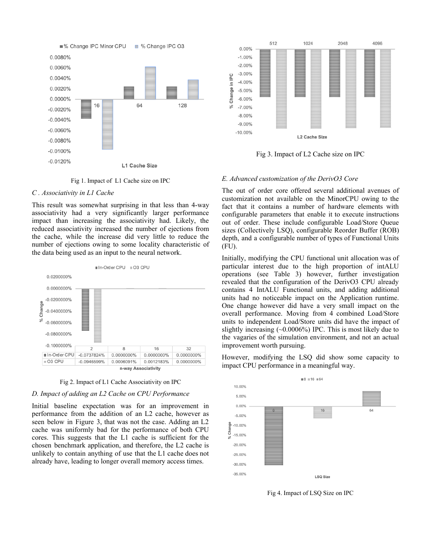

Fig 1. Impact of L1 Cache size on IPC

### *C . Associativity in L1 Cache*

This result was somewhat surprising in that less than 4-way associativity had a very significantly larger performance impact than increasing the associativity had. Likely, the reduced associativity increased the number of ejections from the cache, while the increase did very little to reduce the number of ejections owing to some locality characteristic of the data being used as an input to the neural network.





#### *D. Impact of adding an L2 Cache on CPU Performance*

Initial baseline expectation was for an improvement in performance from the addition of an L2 cache, however as seen below in Figure 3, that was not the case. Adding an L2 cache was uniformly bad for the performance of both CPU cores. This suggests that the L1 cache is sufficient for the chosen benchmark application, and therefore, the L2 cache is unlikely to contain anything of use that the L1 cache does not already have, leading to longer overall memory access times.



Fig 3. Impact of L2 Cache size on IPC

## *E. Advanced customization of the DerivO3 Core*

The out of order core offered several additional avenues of customization not available on the MinorCPU owing to the fact that it contains a number of hardware elements with configurable parameters that enable it to execute instructions out of order. These include configurable Load/Store Queue sizes (Collectively LSQ), configurable Reorder Buffer (ROB) depth, and a configurable number of types of Functional Units (FU).

Initially, modifying the CPU functional unit allocation was of particular interest due to the high proportion of intALU operations (see Table 3) however, further investigation revealed that the configuration of the DerivO3 CPU already contains 4 IntALU Functional units, and adding additional units had no noticeable impact on the Application runtime. One change however did have a very small impact on the overall performance. Moving from 4 combined Load/Store units to independent Load/Store units did have the impact of slightly increasing (~0.0006%) IPC. This is most likely due to the vagaries of the simulation environment, and not an actual improvement worth pursuing.

However, modifying the LSQ did show some capacity to impact CPU performance in a meaningful way.



Fig 4. Impact of LSQ Size on IPC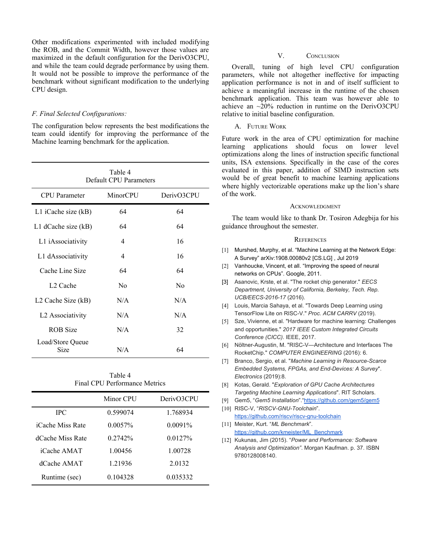Other modifications experimented with included modifying the ROB, and the Commit Width, however those values are maximized in the default configuration for the DerivO3CPU, and while the team could degrade performance by using them. It would not be possible to improve the performance of the benchmark without significant modification to the underlying CPU design.

## *F. Final Selected Configurations:*

The configuration below represents the best modifications the team could identify for improving the performance of the Machine learning benchmark for the application.

| Table 4<br>Default CPU Parameters |          |            |  |  |
|-----------------------------------|----------|------------|--|--|
| <b>CPU</b> Parameter              | MinorCPU | DerivO3CPU |  |  |
| L1 iCache size (kB)               | 64       | 64         |  |  |
| L1 dCache size $(kB)$             | 64       | 64         |  |  |
| L1 iAssociativity                 | 4        | 16         |  |  |
| L1 dAssociativity                 | 4        | 16         |  |  |
| Cache Line Size                   | 64       | 64         |  |  |
| L <sub>2</sub> Cache              | Nο       | Nο         |  |  |
| L <sub>2</sub> Cache Size (kB)    | N/A      | N/A        |  |  |
| L2 Associativity                  | N/A      | N/A        |  |  |
| ROB Size                          | N/A      | 32         |  |  |
| Load/Store Queue<br>Size          | N/A      | 64         |  |  |

# Table 4 Final CPU Performance Metrics

|                  | Minor CPU  | DerivO3CPU |
|------------------|------------|------------|
| <b>IPC</b>       | 0.599074   | 1.768934   |
| iCache Miss Rate | $0.0057\%$ | $0.0091\%$ |
| dCache Miss Rate | $0.2742\%$ | $0.0127\%$ |
| iCache AMAT      | 1.00456    | 1.00728    |
| dCache AMAT      | 1.21936    | 2.0132     |
| Runtime (sec)    | 0 104328   | 0.035332   |

## V. CONCLUSION

Overall, tuning of high level CPU configuration parameters, while not altogether ineffective for impacting application performance is not in and of itself sufficient to achieve a meaningful increase in the runtime of the chosen benchmark application. This team was however able to achieve an ~20% reduction in runtime on the DerivO3CPU relative to initial baseline configuration.

## A. FUTURE WORK

Future work in the area of CPU optimization for machine learning applications should focus on lower level optimizations along the lines of instruction specific functional units, ISA extensions. Specifically in the case of the cores evaluated in this paper, addition of SIMD instruction sets would be of great benefit to machine learning applications where highly vectorizable operations make up the lion's share of the work.

## **ACKNOWLEDGMENT**

The team would like to thank Dr. Tosiron Adegbija for his guidance throughout the semester.

## **REFERENCES**

- [1] Murshed, Murphy, et al. "Machine Learning at the Network Edge: A Survey" arXiv:1908.00080v2 [CS.LG] , Jul 2019
- [2] Vanhoucke, Vincent, et all. "Improving the speed of neural networks on CPUs". Google, 2011.
- [3] Asanovic, Krste, et al. "The rocket chip generator." *EECS Department, University of California, Berkeley, Tech. Rep. UCB/EECS-2016-17* (2016).
- [4] Louis, Marcia Sahaya, et al. "Towards Deep Learning using TensorFlow Lite on RISC-V." *Proc. ACM CARRV* (2019).
- [5] Sze, Vivienne, et al. "Hardware for machine learning: Challenges and opportunities." *2017 IEEE Custom Integrated Circuits Conference (CICC)*. IEEE, 2017.
- [6] Nöltner-Augustin, M. "RISC-V—Architecture and Interfaces The RocketChip." *COMPUTER ENGINEERING* (2016): 6.
- [7] Branco, Sergio, et al. "*Machine Learning in Resource-Scarce Embedded Systems, FPGAs, and End-Devices: A Survey*". *Electronics* (2019):8.
- [8] Kotas, Gerald. "*Exploration of GPU Cache Architectures Targeting Machine Learning Applications*". RIT Scholars.
- [9] Gem5, "*Gem5 Installation*"."<https://github.com/gem5/gem5>
- [10] RISC-V, "*RISCV-GNU-Toolchain*". <https://github.com/riscv/riscv-gnu-toolchain> [11] Meister, Kurt. "*ML Benchmark*".
- [https://github.com/kmeister/ML\\_Benchmark](https://github.com/kmeister/ML_Benchmark)
- [12] Kukunas, Jim (2015). "*Power and Performance: Software Analysis and Optimization"*. Morgan Kaufman. p. 37. ISBN 9780128008140.